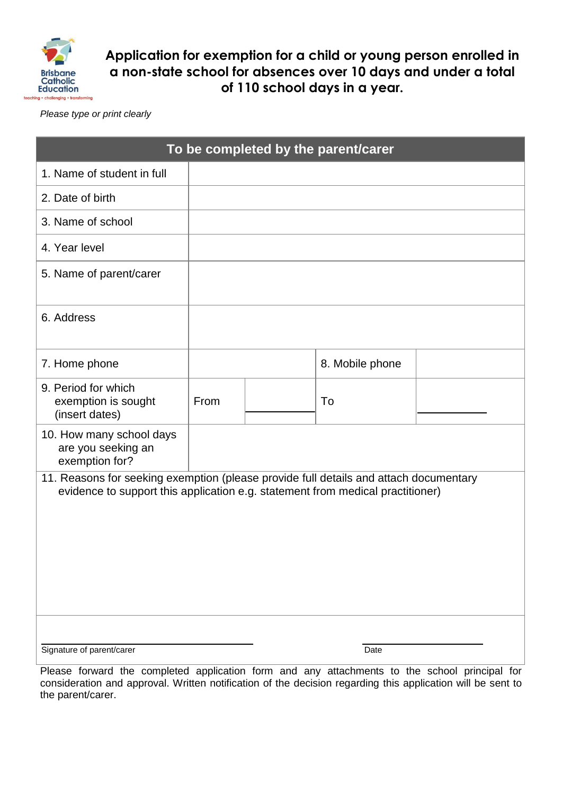

**Application for exemption for a child or young person enrolled in a non-state school for absences over 10 days and under a total of 110 school days in a year.**

*Please type or print clearly*

| To be completed by the parent/carer                                                                                                                                     |      |  |                 |  |  |
|-------------------------------------------------------------------------------------------------------------------------------------------------------------------------|------|--|-----------------|--|--|
| 1. Name of student in full                                                                                                                                              |      |  |                 |  |  |
| 2. Date of birth                                                                                                                                                        |      |  |                 |  |  |
| 3. Name of school                                                                                                                                                       |      |  |                 |  |  |
| 4. Year level                                                                                                                                                           |      |  |                 |  |  |
| 5. Name of parent/carer                                                                                                                                                 |      |  |                 |  |  |
| 6. Address                                                                                                                                                              |      |  |                 |  |  |
| 7. Home phone                                                                                                                                                           |      |  | 8. Mobile phone |  |  |
| 9. Period for which<br>exemption is sought<br>(insert dates)                                                                                                            | From |  | To              |  |  |
| 10. How many school days<br>are you seeking an<br>exemption for?                                                                                                        |      |  |                 |  |  |
| 11. Reasons for seeking exemption (please provide full details and attach documentary<br>evidence to support this application e.g. statement from medical practitioner) |      |  |                 |  |  |
| Signature of parent/carer                                                                                                                                               |      |  | Date            |  |  |

Please forward the completed application form and any attachments to the school principal for consideration and approval. Written notification of the decision regarding this application will be sent to the parent/carer.